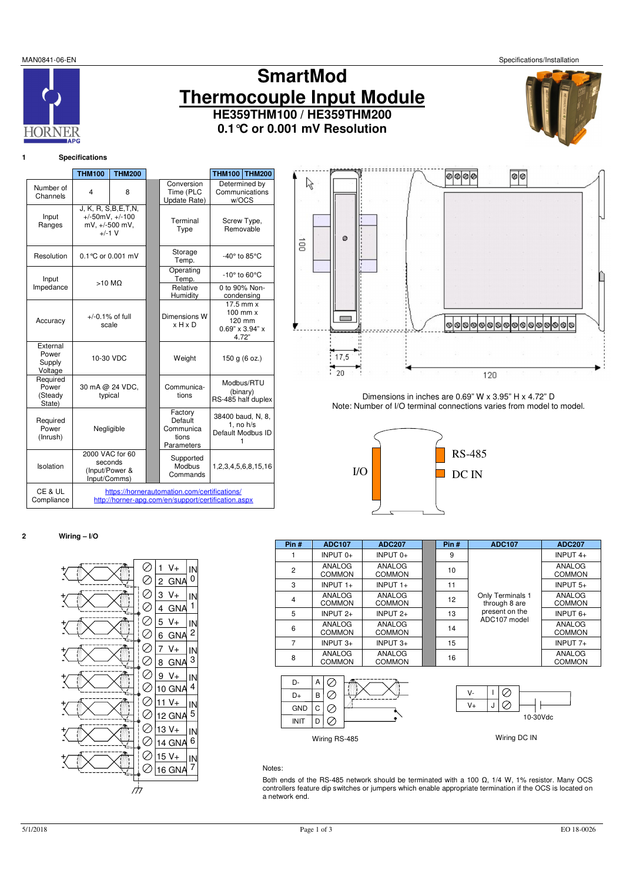HORNE

# **SmartMod Thermocouple Input Module HE359THM100 / HE359THM200 0.1°C or 0.001 mV Resolution**



# **1 Specifications**

|                                        | <b>THM100</b>                                                                                       | <b>THM200</b>              |  |                                                        | <b>THM100 THM200</b>                 |                                                     |
|----------------------------------------|-----------------------------------------------------------------------------------------------------|----------------------------|--|--------------------------------------------------------|--------------------------------------|-----------------------------------------------------|
| Number of<br>Channels                  | 4                                                                                                   | 8                          |  | Conversion<br>Time (PLC<br>Update Rate)                | w/OCS                                | Determined by<br>Communications                     |
| Input<br>Ranges                        | J, K, R, S, B, E, T, N,<br>$+/-50mV, +/-100$<br>mV, +/-500 mV,<br>$+/-1$ V                          |                            |  | Terminal<br>Type                                       | Screw Type,<br>Removable             |                                                     |
| Resolution                             |                                                                                                     | 0.1 °C or 0.001 mV         |  | Storage<br>Temp.                                       | -40° to 85°C                         |                                                     |
| Input                                  |                                                                                                     | $>10$ MQ                   |  | Operating<br>Temp.                                     | $-10^\circ$ to 60 $\degree$ C        |                                                     |
| Impedance                              |                                                                                                     |                            |  | Relative<br>Humidity                                   | 0 to 90% Non-<br>condensing          |                                                     |
| Accuracy                               | $+/-0.1\%$ of full<br>scale                                                                         |                            |  | Dimensions W<br>$x$ H $x$ D                            | $0.69" \times 3.94" \times$<br>4.72" | $17.5$ mm $x$<br>$100$ mm $x$<br>120 mm             |
| External<br>Power<br>Supply<br>Voltage | 10-30 VDC                                                                                           |                            |  | Weight                                                 | 150 g (6 oz.)                        |                                                     |
| Required<br>Power<br>(Steady<br>State) |                                                                                                     | 30 mA @ 24 VDC,<br>typical |  | Communica-<br>tions                                    | (binary)                             | Modbus/RTU<br>RS-485 half duplex                    |
| Required<br>Power<br>(Inrush)          |                                                                                                     | Negligible                 |  | Factory<br>Default<br>Communica<br>tions<br>Parameters | 1                                    | 38400 baud, N, 8,<br>1, no h/s<br>Default Modbus ID |
| Isolation                              | 2000 VAC for 60<br>seconds<br>(Input/Power &<br>Input/Comms)                                        |                            |  | Supported<br>Modbus<br>Commands                        |                                      | 1,2,3,4,5,6,8,15,16                                 |
| CE & UL<br>Compliance                  | https://hornerautomation.com/certifications/<br>http://horner-apg.com/en/support/certification.aspx |                            |  |                                                        |                                      |                                                     |



Dimensions in inches are 0.69" W x 3.95" H x 4.72" D Note: Number of I/O terminal connections varies from model to model.



## **2 Wiring – I/O**

|                           |              |    | V+         | IN             |
|---------------------------|--------------|----|------------|----------------|
|                           | Z            | 2  | GNA        | 0              |
| $\overline{\overline{z}}$ |              | 3  | V+         | IN             |
|                           |              | 4  | <b>GNA</b> | 1              |
|                           |              | 5  | V+         | IN             |
|                           |              | 6  | GNA        | $\overline{2}$ |
|                           | $\checkmark$ | 7  | $V +$      | IN             |
|                           |              | 8  | GNA        | 3              |
|                           | Ż            | 9  | V+         | ΙN             |
|                           |              | 10 | GNA        | 4              |
|                           | Ď            |    | V+         | IN             |
|                           |              |    | 12 GNA     | $\overline{5}$ |
|                           |              |    | $13V +$    | IN             |
|                           |              | 14 | GNA        | 6              |
|                           |              | 15 | $V +$      | ΙN             |
|                           |              |    | 16 GNA     | 7              |
|                           |              |    |            |                |
|                           |              |    |            |                |
|                           |              |    |            |                |

| Pin#           | <b>ADC107</b>           | <b>ADC207</b>           | Pin# | <b>ADC107</b>                     | <b>ADC207</b>           |
|----------------|-------------------------|-------------------------|------|-----------------------------------|-------------------------|
|                | INPUT 0+                | INPUT $0+$              | 9    |                                   | INPUT $4+$              |
| $\overline{2}$ | ANALOG<br><b>COMMON</b> | ANALOG<br>COMMON        | 10   |                                   | ANALOG<br><b>COMMON</b> |
| 3              | INPUT $1+$              | INPUT $1+$              | 11   |                                   | INPUT $5+$              |
| 4              | ANALOG<br><b>COMMON</b> | ANALOG<br><b>COMMON</b> | 12   | Only Terminals 1<br>through 8 are | ANALOG<br><b>COMMON</b> |
| 5              | INPUT $2+$              | INPUT $2+$              | 13   | present on the<br>ADC107 model    | INPUT $6+$              |
| 6              | ANALOG<br><b>COMMON</b> | ANALOG<br><b>COMMON</b> | 14   |                                   | ANALOG<br><b>COMMON</b> |
| 7              | INPUT $3+$              | INPUT $3+$              | 15   |                                   | INPUT $7+$              |
| 8              | ANALOG<br><b>COMMON</b> | ANALOG<br><b>COMMON</b> | 16   |                                   | ANALOG<br><b>COMMON</b> |





#### Notes:

Both ends of the RS-485 network should be terminated with a 100 Ω, 1/4 W, 1% resistor. Many OCS controllers feature dip switches or jumpers which enable appropriate termination if the OCS is located on a network end.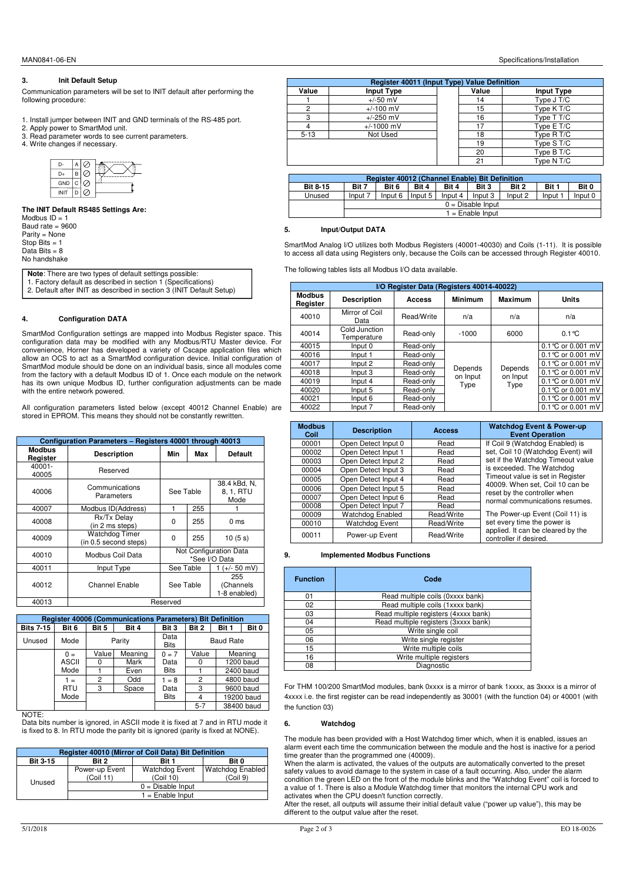## **3. Init Default Setup**

Communication parameters will be set to INIT default after performing the following procedure:

- 1. Install jumper between INIT and GND terminals of the RS-485 port.
- 2. Apply power to SmartMod unit.
- 3. Read parameter words to see current parameters.
- 4. Write changes if necessary.



**The INIT Default RS485 Settings Are:**  Modbus  $ID = 1$ Baud rate = 9600 Parity = None Stop Bits = 1 Data Bits  $= 8$ No handshake

**Note**: There are two types of default settings possible: 1. Factory default as described in section 1 (Specifications) 2. Default after INIT as described in section 3 (INIT Default Setup)

## **4. Configuration DATA**

SmartMod Configuration settings are mapped into Modbus Register space. This<br>configuration data may be modified with any Modbus/RTU Master device. For<br>convenience, Horner has developed a variety of Cscape application files allow an OCS to act as a SmartMod configuration device. Initial configuration of SmartMod module should be done on an individual basis, since all modules come from the factory with a default Modbus ID of 1. Once each module on the network has its own unique Modbus ID, further configuration adjustments can be made with the entire network powered.

All configuration parameters listed below (except 40012 Channel Enable) are stored in EPROM. This means they should not be constantly rewritten.

|                           | Configuration Parameters - Registers 40001 through 40013 |           |     |                                         |  |  |
|---------------------------|----------------------------------------------------------|-----------|-----|-----------------------------------------|--|--|
| <b>Modbus</b><br>Register | <b>Description</b>                                       | Min       | Max | <b>Default</b>                          |  |  |
| 40001-<br>40005           | Reserved                                                 |           |     |                                         |  |  |
| 40006                     | Communications<br>Parameters                             | See Table |     | 38.4 kBd, N,<br>8, 1, RTU<br>Mode       |  |  |
| 40007                     | Modbus ID(Address)                                       | 1         | 255 |                                         |  |  |
| 40008                     | Rx/Tx Delay<br>(in 2 ms steps)                           | O         | 255 | 0 ms                                    |  |  |
| 40009                     | <b>Watchdog Timer</b><br>(in 0.5 second steps)           | $\Omega$  | 255 | 10(5s)                                  |  |  |
| 40010                     | Modbus Coil Data                                         |           |     | Not Configuration Data<br>*See I/O Data |  |  |
| 40011                     | Input Type                                               | See Table |     | $(+/- 50$ mV)                           |  |  |
| 40012                     | Channel Enable                                           | See Table |     | 255<br>(Channels<br>1-8 enabled)        |  |  |
| 40013                     | Reserved                                                 |           |     |                                         |  |  |

|                  | <b>Register 40006 (Communications Parameters) Bit Definition</b> |       |                                                   |             |         |       |            |
|------------------|------------------------------------------------------------------|-------|---------------------------------------------------|-------------|---------|-------|------------|
| <b>Bits 7-15</b> | Bit 6                                                            | Bit 5 | Bit 4                                             | Bit 3       | Bit 2   | Bit 1 | Bit 0      |
| Unused           | Mode                                                             |       | Data<br>Parity<br><b>Baud Rate</b><br><b>Bits</b> |             |         |       |            |
|                  | $0 =$                                                            | Value | Meaning                                           | $0 = 7$     | Value   |       | Meaning    |
|                  | <b>ASCII</b>                                                     | 0     | Mark                                              | Data        |         |       | 1200 baud  |
|                  | Mode                                                             |       | Even                                              | <b>Bits</b> |         |       | 2400 baud  |
|                  | $1 =$                                                            | 2     | Odd                                               | $1 = 8$     | 2       |       | 4800 baud  |
|                  | <b>RTU</b>                                                       | 3     | Space                                             | Data        | 3       |       | 9600 baud  |
|                  | Mode                                                             |       |                                                   | <b>Bits</b> |         |       | 19200 baud |
|                  |                                                                  |       |                                                   |             | $5 - 7$ |       | 38400 baud |

NOTE:

Data bits number is ignored, in ASCII mode it is fixed at 7 and in RTU mode it is fixed to 8. In RTU mode the parity bit is ignored (parity is fixed at NONE).

| <b>Bit 3-15</b> |                             |                                   | Register 40010 (Mirror of Coil Data) Bit Definition |  |  |  |  |  |
|-----------------|-----------------------------|-----------------------------------|-----------------------------------------------------|--|--|--|--|--|
|                 | Bit 2                       | Bit 1                             | Bit 0                                               |  |  |  |  |  |
|                 | Power-up Event<br>(Coil 11) | <b>Watchdog Event</b><br>(Coi110) | <b>Watchdog Enabled</b><br>(Coi19)                  |  |  |  |  |  |
| Unused          | $0 = Disable$ Input         |                                   |                                                     |  |  |  |  |  |
|                 | $1 =$ Enable Input          |                                   |                                                     |  |  |  |  |  |

|                 | Register 40012 (Channel Enable) Bit Definition |                     |         |         |         |         |         |         |
|-----------------|------------------------------------------------|---------------------|---------|---------|---------|---------|---------|---------|
| <b>Bit 8-15</b> | Bit 7                                          | Bit 6               | Bit 4   | Bit 4   | Bit 3   | Bit 2   | Bit 1   | Bit 0   |
| Unused          | Input 7                                        | Input 6             | Input 5 | Input 4 | Input 3 | Input 2 | Input 1 | Input 0 |
|                 |                                                | $0 = Disable$ Input |         |         |         |         |         |         |
|                 |                                                | $1 =$ Enable Input  |         |         |         |         |         |         |

**Register 40011 (Input Type) Value Definition**

#### **5. Input/Output DATA**

SmartMod Analog I/O utilizes both Modbus Registers (40001-40030) and Coils (1-11). It is possible to access all data using Registers only, because the Coils can be accessed through Register 40010.

The following tables lists all Modbus I/O data available.

|                           | I/O Register Data (Registers 40014-40022) |            |                  |                  |                      |  |  |
|---------------------------|-------------------------------------------|------------|------------------|------------------|----------------------|--|--|
| <b>Modbus</b><br>Register | <b>Description</b>                        | Access     | <b>Minimum</b>   | Maximum          | <b>Units</b>         |  |  |
| 40010                     | Mirror of Coil<br>Data                    | Read/Write | n/a              | n/a              | n/a                  |  |  |
| 40014                     | Cold Junction<br>Temperature              | Read-only  | $-1000$          | 6000             | $0.1$ °C             |  |  |
| 40015                     | Input 0                                   | Read-only  |                  | Depends          | $0.1$ °C or 0.001 mV |  |  |
| 40016                     | Input 1                                   | Read-only  |                  |                  | $0.1$ °C or 0.001 mV |  |  |
| 40017                     | Input 2                                   | Read-only  |                  |                  | $0.1$ °C or 0.001 mV |  |  |
| 40018                     | Input 3                                   | Read-only  | Depends          |                  | 0.1 °C or 0.001 mV   |  |  |
| 40019                     | Input 4                                   | Read-only  | on Input<br>Type | on Input<br>Type | 0.1 °C or 0.001 mV   |  |  |
| 40020                     | Input 5                                   | Read-only  |                  |                  | 0.1 °C or 0.001 mV   |  |  |
| 40021                     | Input 6                                   | Read-only  |                  |                  | 0.1 °C or 0.001 mV   |  |  |
| 40022                     | Input 7                                   | Read-only  |                  |                  | 0.1 °C or 0.001 mV   |  |  |

| <b>Modbus</b><br>Coil | <b>Description</b>  | <b>Access</b> | <b>Watchdog Event &amp; Power-up</b><br><b>Event Operation</b>  |
|-----------------------|---------------------|---------------|-----------------------------------------------------------------|
| 00001                 | Open Detect Input 0 | Read          | If Coil 9 (Watchdog Enabled) is                                 |
| 00002                 | Open Detect Input 1 | Read          | set, Coil 10 (Watchdog Event) will                              |
| 00003                 | Open Detect Input 2 | Read          | set if the Watchdog Timeout value                               |
| 00004                 | Open Detect Input 3 | Read          | is exceeded. The Watchdog                                       |
| 00005                 | Open Detect Input 4 | Read          | Timeout value is set in Register                                |
| 00006                 | Open Detect Input 5 | Read          | 40009. When set, Coil 10 can be<br>reset by the controller when |
| 00007                 | Open Detect Input 6 | Read          | normal communications resumes.                                  |
| 00008                 | Open Detect Input 7 | Read          |                                                                 |
| 00009                 | Watchdog Enabled    | Read/Write    | The Power-up Event (Coil 11) is                                 |
| 00010                 | Watchdog Event      | Read/Write    | set every time the power is                                     |
| 00011                 | Power-up Event      | Read/Write    | applied. It can be cleared by the<br>controller if desired.     |

## **9. Implemented Modbus Functions**

| <b>Function</b> | Code                                 |  |  |
|-----------------|--------------------------------------|--|--|
| 01              | Read multiple coils (0xxxx bank)     |  |  |
| 02              | Read multiple coils (1xxxx bank)     |  |  |
| 03              | Read multiple registers (4xxxx bank) |  |  |
| 04              | Read multiple registers (3xxxx bank) |  |  |
| 05              | Write single coil                    |  |  |
| 06              | Write single register                |  |  |
| 15              | Write multiple coils                 |  |  |
| 16              | Write multiple registers             |  |  |
| 08              | Diagnostic                           |  |  |

For THM 100/200 SmartMod modules, bank 0xxxx is a mirror of bank 1xxxx, as 3xxxx is a mirror of 4xxxx i.e. the first register can be read independently as 30001 (with the function 04) or 40001 (with the function 03)

### **6. Watchdog**

The module has been provided with a Host Watchdog timer which, when it is enabled, issues an alarm event each time the communication between the module and the host is inactive for a period time greater than the programmed one (40009).

When the alarm is activated, the values of the outputs are automatically converted to the preset safety values to avoid damage to the system in case of a fault occurring. Also, under the alarm condition the green LED on the front of the module blinks and the "Watchdog Event" coil is forced to a value of 1. There is also a Module Watchdog timer that monitors the internal CPU work and activates when the CPU doesn't function correctly.

After the reset, all outputs will assume their initial default value ("power up value"), this may be different to the output value after the reset.

#### MAN0841-06-EN Specifications/Installation